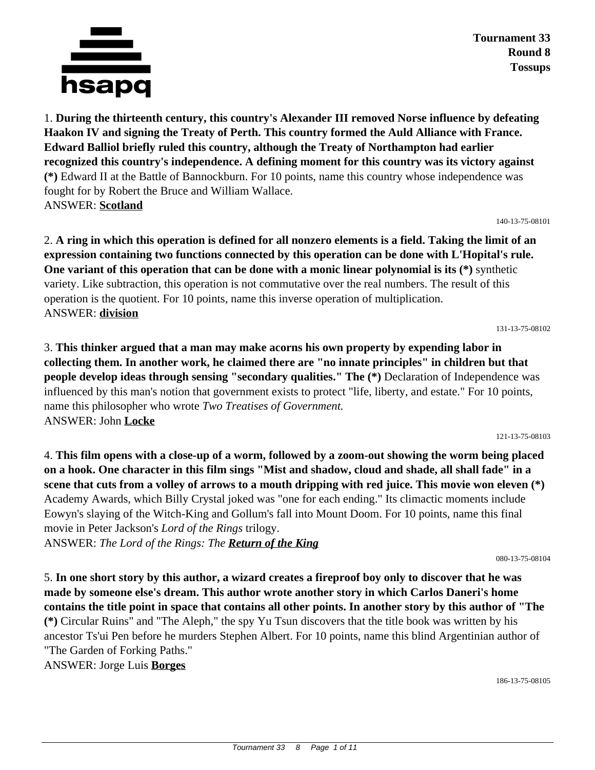

**Tournament 33 Round 8 Tossups**

1. **During the thirteenth century, this country's Alexander III removed Norse influence by defeating Haakon IV and signing the Treaty of Perth. This country formed the Auld Alliance with France. Edward Balliol briefly ruled this country, although the Treaty of Northampton had earlier recognized this country's independence. A defining moment for this country was its victory against (\*)** Edward II at the Battle of Bannockburn. For 10 points, name this country whose independence was fought for by Robert the Bruce and William Wallace. ANSWER: **Scotland**

140-13-75-08101

2. **A ring in which this operation is defined for all nonzero elements is a field. Taking the limit of an expression containing two functions connected by this operation can be done with L'Hopital's rule. One variant of this operation that can be done with a monic linear polynomial is its (\*)** synthetic variety. Like subtraction, this operation is not commutative over the real numbers. The result of this operation is the quotient. For 10 points, name this inverse operation of multiplication. ANSWER: **division**

131-13-75-08102

3. **This thinker argued that a man may make acorns his own property by expending labor in collecting them. In another work, he claimed there are "no innate principles" in children but that people develop ideas through sensing "secondary qualities." The (\*)** Declaration of Independence was influenced by this man's notion that government exists to protect "life, liberty, and estate." For 10 points, name this philosopher who wrote *Two Treatises of Government.* ANSWER: John **Locke**

121-13-75-08103

4. **This film opens with a close-up of a worm, followed by a zoom-out showing the worm being placed on a hook. One character in this film sings "Mist and shadow, cloud and shade, all shall fade" in a scene that cuts from a volley of arrows to a mouth dripping with red juice. This movie won eleven (\*)** Academy Awards, which Billy Crystal joked was "one for each ending." Its climactic moments include Eowyn's slaying of the Witch-King and Gollum's fall into Mount Doom. For 10 points, name this final movie in Peter Jackson's *Lord of the Rings* trilogy.

ANSWER: *The Lord of the Rings: The Return of the King*

080-13-75-08104

5. **In one short story by this author, a wizard creates a fireproof boy only to discover that he was made by someone else's dream. This author wrote another story in which Carlos Daneri's home contains the title point in space that contains all other points. In another story by this author of "The (\*)** Circular Ruins" and "The Aleph," the spy Yu Tsun discovers that the title book was written by his ancestor Ts'ui Pen before he murders Stephen Albert. For 10 points, name this blind Argentinian author of "The Garden of Forking Paths."

ANSWER: Jorge Luis **Borges**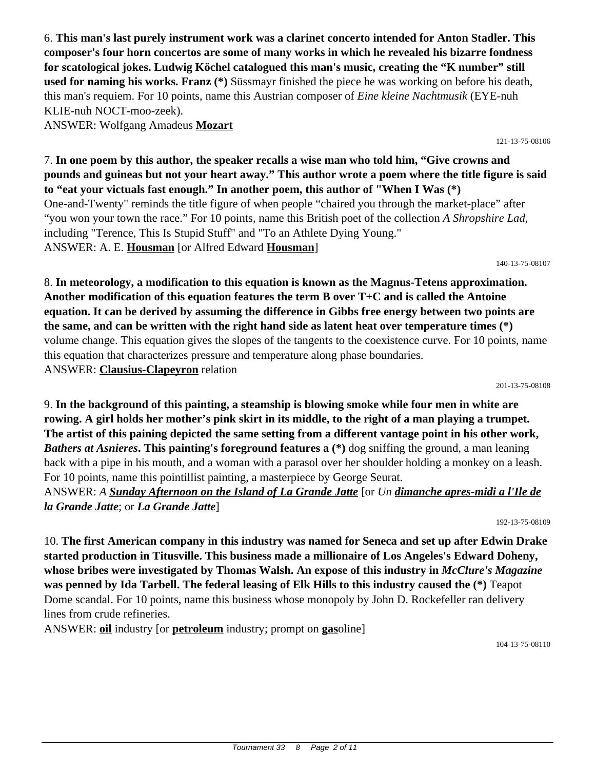6. **This man's last purely instrument work was a clarinet concerto intended for Anton Stadler. This composer's four horn concertos are some of many works in which he revealed his bizarre fondness for scatological jokes. Ludwig Köchel catalogued this man's music, creating the "K number" still used for naming his works. Franz (\*)** Süssmayr finished the piece he was working on before his death, this man's requiem. For 10 points, name this Austrian composer of *Eine kleine Nachtmusik* (EYE-nuh KLIE-nuh NOCT-moo-zeek).

ANSWER: Wolfgang Amadeus **Mozart**

7. **In one poem by this author, the speaker recalls a wise man who told him, "Give crowns and pounds and guineas but not your heart away." This author wrote a poem where the title figure is said to "eat your victuals fast enough." In another poem, this author of "When I Was (\*)** One-and-Twenty" reminds the title figure of when people "chaired you through the market-place" after "you won your town the race." For 10 points, name this British poet of the collection *A Shropshire Lad,* including "Terence, This Is Stupid Stuff" and "To an Athlete Dying Young." ANSWER: A. E. **Housman** [or Alfred Edward **Housman**]

140-13-75-08107

121-13-75-08106

8. **In meteorology, a modification to this equation is known as the Magnus-Tetens approximation. Another modification of this equation features the term B over T+C and is called the Antoine equation. It can be derived by assuming the difference in Gibbs free energy between two points are the same, and can be written with the right hand side as latent heat over temperature times (\*)** volume change. This equation gives the slopes of the tangents to the coexistence curve. For 10 points, name this equation that characterizes pressure and temperature along phase boundaries. ANSWER: **Clausius-Clapeyron** relation

201-13-75-08108

9. **In the background of this painting, a steamship is blowing smoke while four men in white are rowing. A girl holds her mother's pink skirt in its middle, to the right of a man playing a trumpet. The artist of this paining depicted the same setting from a different vantage point in his other work,**  *Bathers at Asnieres***. This painting's foreground features a (\*)** dog sniffing the ground, a man leaning back with a pipe in his mouth, and a woman with a parasol over her shoulder holding a monkey on a leash. For 10 points, name this pointillist painting, a masterpiece by George Seurat.

ANSWER: *A Sunday Afternoon on the Island of La Grande Jatte* [or *Un dimanche apres-midi a l'Ile de la Grande Jatte*; or *La Grande Jatte*]

192-13-75-08109

10. **The first American company in this industry was named for Seneca and set up after Edwin Drake started production in Titusville. This business made a millionaire of Los Angeles's Edward Doheny, whose bribes were investigated by Thomas Walsh. An expose of this industry in** *McClure's Magazine* **was penned by Ida Tarbell. The federal leasing of Elk Hills to this industry caused the (\*)** Teapot Dome scandal. For 10 points, name this business whose monopoly by John D. Rockefeller ran delivery lines from crude refineries.

ANSWER: **oil** industry [or **petroleum** industry; prompt on **gas**oline]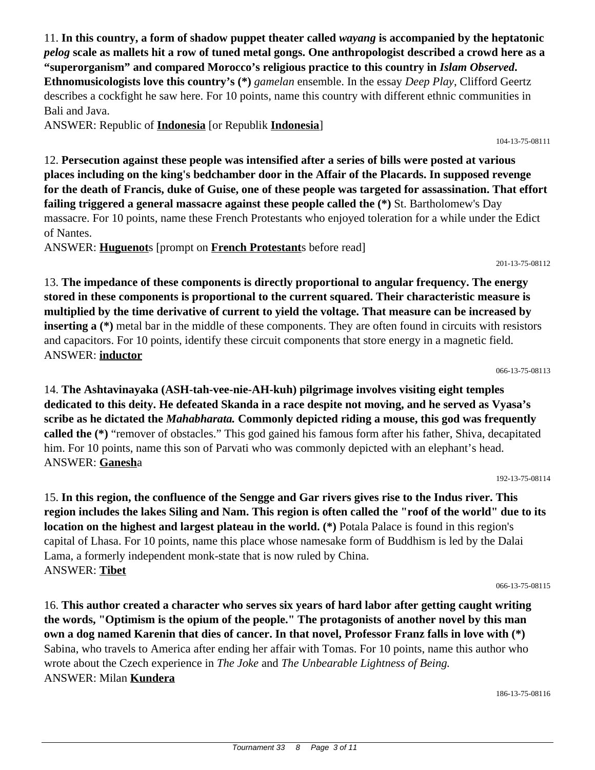11. **In this country, a form of shadow puppet theater called** *wayang* **is accompanied by the heptatonic**  *pelog* **scale as mallets hit a row of tuned metal gongs. One anthropologist described a crowd here as a "superorganism" and compared Morocco's religious practice to this country in** *Islam Observed***. Ethnomusicologists love this country's (\*)** *gamelan* ensemble. In the essay *Deep Play*, Clifford Geertz describes a cockfight he saw here. For 10 points, name this country with different ethnic communities in Bali and Java.

ANSWER: Republic of **Indonesia** [or Republik **Indonesia**]

12. **Persecution against these people was intensified after a series of bills were posted at various places including on the king's bedchamber door in the Affair of the Placards. In supposed revenge for the death of Francis, duke of Guise, one of these people was targeted for assassination. That effort failing triggered a general massacre against these people called the (\*)** St. Bartholomew's Day massacre. For 10 points, name these French Protestants who enjoyed toleration for a while under the Edict of Nantes.

ANSWER: **Huguenot**s [prompt on **French Protestant**s before read]

13. **The impedance of these components is directly proportional to angular frequency. The energy stored in these components is proportional to the current squared. Their characteristic measure is multiplied by the time derivative of current to yield the voltage. That measure can be increased by inserting a** (\*) metal bar in the middle of these components. They are often found in circuits with resistors and capacitors. For 10 points, identify these circuit components that store energy in a magnetic field. ANSWER: **inductor**

066-13-75-08113

201-13-75-08112

14. **The Ashtavinayaka (ASH-tah-vee-nie-AH-kuh) pilgrimage involves visiting eight temples dedicated to this deity. He defeated Skanda in a race despite not moving, and he served as Vyasa's scribe as he dictated the** *Mahabharata.* **Commonly depicted riding a mouse, this god was frequently called the (\*)** "remover of obstacles." This god gained his famous form after his father, Shiva, decapitated him. For 10 points, name this son of Parvati who was commonly depicted with an elephant's head. ANSWER: **Ganesh**a

192-13-75-08114

15. **In this region, the confluence of the Sengge and Gar rivers gives rise to the Indus river. This region includes the lakes Siling and Nam. This region is often called the "roof of the world" due to its location on the highest and largest plateau in the world. (\*)** Potala Palace is found in this region's capital of Lhasa. For 10 points, name this place whose namesake form of Buddhism is led by the Dalai Lama, a formerly independent monk-state that is now ruled by China. ANSWER: **Tibet**

066-13-75-08115

16. **This author created a character who serves six years of hard labor after getting caught writing the words, "Optimism is the opium of the people." The protagonists of another novel by this man own a dog named Karenin that dies of cancer. In that novel, Professor Franz falls in love with (\*)** Sabina, who travels to America after ending her affair with Tomas. For 10 points, name this author who wrote about the Czech experience in *The Joke* and *The Unbearable Lightness of Being.* ANSWER: Milan **Kundera**

186-13-75-08116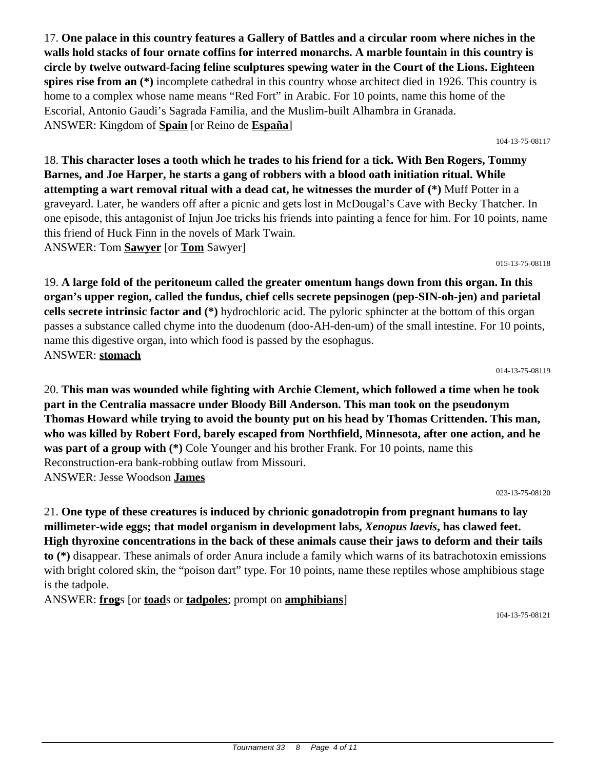17. **One palace in this country features a Gallery of Battles and a circular room where niches in the walls hold stacks of four ornate coffins for interred monarchs. A marble fountain in this country is circle by twelve outward-facing feline sculptures spewing water in the Court of the Lions. Eighteen spires rise from an (\*)** incomplete cathedral in this country whose architect died in 1926. This country is home to a complex whose name means "Red Fort" in Arabic. For 10 points, name this home of the Escorial, Antonio Gaudi's Sagrada Familia, and the Muslim-built Alhambra in Granada. ANSWER: Kingdom of **Spain** [or Reino de **España**]

104-13-75-08117

18. **This character loses a tooth which he trades to his friend for a tick. With Ben Rogers, Tommy Barnes, and Joe Harper, he starts a gang of robbers with a blood oath initiation ritual. While attempting a wart removal ritual with a dead cat, he witnesses the murder of (\*)** Muff Potter in a graveyard. Later, he wanders off after a picnic and gets lost in McDougal's Cave with Becky Thatcher. In one episode, this antagonist of Injun Joe tricks his friends into painting a fence for him. For 10 points, name this friend of Huck Finn in the novels of Mark Twain. ANSWER: Tom **Sawyer** [or **Tom** Sawyer]

015-13-75-08118

19. **A large fold of the peritoneum called the greater omentum hangs down from this organ. In this organ's upper region, called the fundus, chief cells secrete pepsinogen (pep-SIN-oh-jen) and parietal cells secrete intrinsic factor and (\*)** hydrochloric acid. The pyloric sphincter at the bottom of this organ passes a substance called chyme into the duodenum (doo-AH-den-um) of the small intestine. For 10 points, name this digestive organ, into which food is passed by the esophagus. ANSWER: **stomach**

014-13-75-08119

20. **This man was wounded while fighting with Archie Clement, which followed a time when he took part in the Centralia massacre under Bloody Bill Anderson. This man took on the pseudonym Thomas Howard while trying to avoid the bounty put on his head by Thomas Crittenden. This man, who was killed by Robert Ford, barely escaped from Northfield, Minnesota, after one action, and he was part of a group with (\*)** Cole Younger and his brother Frank. For 10 points, name this Reconstruction-era bank-robbing outlaw from Missouri. ANSWER: Jesse Woodson **James**

023-13-75-08120

21. **One type of these creatures is induced by chrionic gonadotropin from pregnant humans to lay millimeter-wide eggs; that model organism in development labs,** *Xenopus laevis***, has clawed feet. High thyroxine concentrations in the back of these animals cause their jaws to deform and their tails to (\*)** disappear. These animals of order Anura include a family which warns of its batrachotoxin emissions with bright colored skin, the "poison dart" type. For 10 points, name these reptiles whose amphibious stage is the tadpole.

ANSWER: **frog**s [or **toad**s or **tadpoles**; prompt on **amphibians**]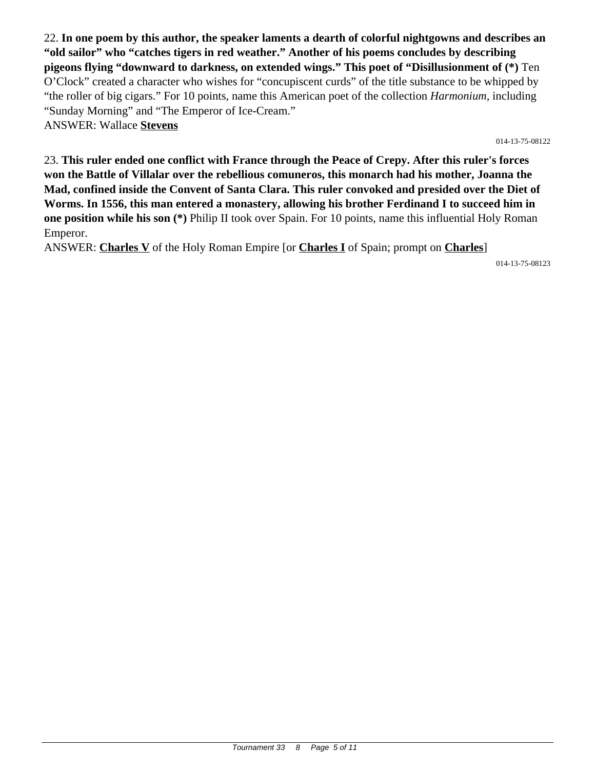22. **In one poem by this author, the speaker laments a dearth of colorful nightgowns and describes an "old sailor" who "catches tigers in red weather." Another of his poems concludes by describing pigeons flying "downward to darkness, on extended wings." This poet of "Disillusionment of (\*)** Ten O'Clock" created a character who wishes for "concupiscent curds" of the title substance to be whipped by "the roller of big cigars." For 10 points, name this American poet of the collection *Harmonium,* including "Sunday Morning" and "The Emperor of Ice-Cream." ANSWER: Wallace **Stevens**

014-13-75-08122

23. **This ruler ended one conflict with France through the Peace of Crepy. After this ruler's forces won the Battle of Villalar over the rebellious comuneros, this monarch had his mother, Joanna the Mad, confined inside the Convent of Santa Clara. This ruler convoked and presided over the Diet of Worms. In 1556, this man entered a monastery, allowing his brother Ferdinand I to succeed him in one position while his son (\*)** Philip II took over Spain. For 10 points, name this influential Holy Roman Emperor.

ANSWER: **Charles V** of the Holy Roman Empire [or **Charles I** of Spain; prompt on **Charles**]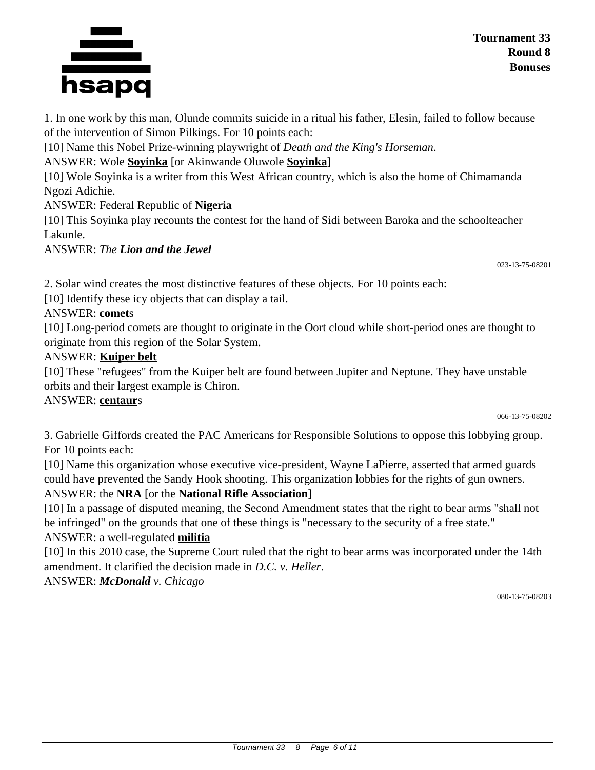

1. In one work by this man, Olunde commits suicide in a ritual his father, Elesin, failed to follow because of the intervention of Simon Pilkings. For 10 points each:

[10] Name this Nobel Prize-winning playwright of *Death and the King's Horseman*.

ANSWER: Wole **Soyinka** [or Akinwande Oluwole **Soyinka**]

[10] Wole Soyinka is a writer from this West African country, which is also the home of Chimamanda Ngozi Adichie.

ANSWER: Federal Republic of **Nigeria**

[10] This Soyinka play recounts the contest for the hand of Sidi between Baroka and the schoolteacher Lakunle.

ANSWER: *The Lion and the Jewel*

023-13-75-08201

2. Solar wind creates the most distinctive features of these objects. For 10 points each:

[10] Identify these icy objects that can display a tail.

# ANSWER: **comet**s

[10] Long-period comets are thought to originate in the Oort cloud while short-period ones are thought to originate from this region of the Solar System.

## ANSWER: **Kuiper belt**

[10] These "refugees" from the Kuiper belt are found between Jupiter and Neptune. They have unstable orbits and their largest example is Chiron.

## ANSWER: **centaur**s

066-13-75-08202

3. Gabrielle Giffords created the PAC Americans for Responsible Solutions to oppose this lobbying group. For 10 points each:

[10] Name this organization whose executive vice-president, Wayne LaPierre, asserted that armed guards could have prevented the Sandy Hook shooting. This organization lobbies for the rights of gun owners. ANSWER: the **NRA** [or the **National Rifle Association**]

[10] In a passage of disputed meaning, the Second Amendment states that the right to bear arms "shall not be infringed" on the grounds that one of these things is "necessary to the security of a free state."

# ANSWER: a well-regulated **militia**

[10] In this 2010 case, the Supreme Court ruled that the right to bear arms was incorporated under the 14th amendment. It clarified the decision made in *D.C. v. Heller*.

ANSWER: *McDonald v. Chicago*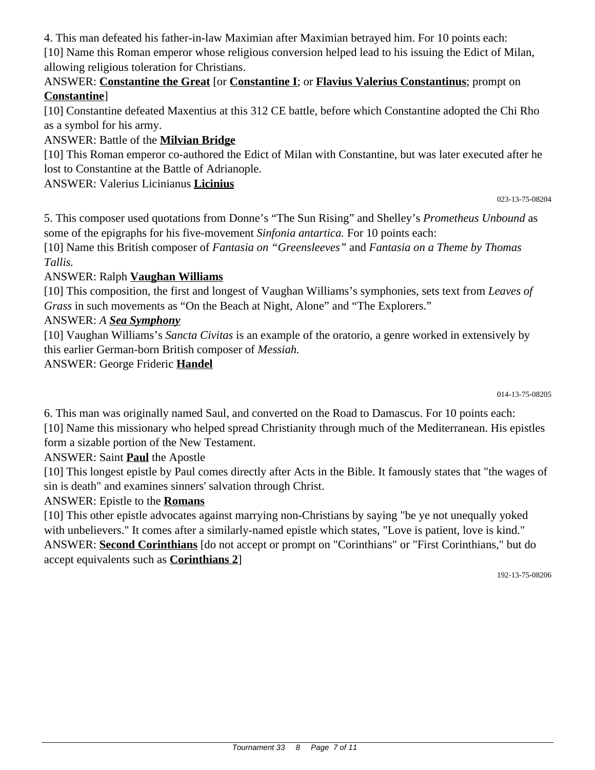4. This man defeated his father-in-law Maximian after Maximian betrayed him. For 10 points each:

[10] Name this Roman emperor whose religious conversion helped lead to his issuing the Edict of Milan, allowing religious toleration for Christians.

### ANSWER: **Constantine the Great** [or **Constantine I**; or **Flavius Valerius Constantinus**; prompt on **Constantine**]

[10] Constantine defeated Maxentius at this 312 CE battle, before which Constantine adopted the Chi Rho as a symbol for his army.

# ANSWER: Battle of the **Milvian Bridge**

[10] This Roman emperor co-authored the Edict of Milan with Constantine, but was later executed after he lost to Constantine at the Battle of Adrianople.

ANSWER: Valerius Licinianus **Licinius**

023-13-75-08204

5. This composer used quotations from Donne's "The Sun Rising" and Shelley's *Prometheus Unbound* as some of the epigraphs for his five-movement *Sinfonia antartica.* For 10 points each:

[10] Name this British composer of *Fantasia on "Greensleeves"* and *Fantasia on a Theme by Thomas Tallis.*

# ANSWER: Ralph **Vaughan Williams**

[10] This composition, the first and longest of Vaughan Williams's symphonies, sets text from *Leaves of Grass* in such movements as "On the Beach at Night, Alone" and "The Explorers."

# ANSWER: *A Sea Symphony*

[10] Vaughan Williams's *Sancta Civitas* is an example of the oratorio, a genre worked in extensively by this earlier German-born British composer of *Messiah.*

ANSWER: George Frideric **Handel**

014-13-75-08205

6. This man was originally named Saul, and converted on the Road to Damascus. For 10 points each: [10] Name this missionary who helped spread Christianity through much of the Mediterranean. His epistles form a sizable portion of the New Testament.

ANSWER: Saint **Paul** the Apostle

[10] This longest epistle by Paul comes directly after Acts in the Bible. It famously states that "the wages of sin is death" and examines sinners' salvation through Christ.

# ANSWER: Epistle to the **Romans**

[10] This other epistle advocates against marrying non-Christians by saying "be ye not unequally yoked with unbelievers." It comes after a similarly-named epistle which states, "Love is patient, love is kind." ANSWER: **Second Corinthians** [do not accept or prompt on "Corinthians" or "First Corinthians," but do accept equivalents such as **Corinthians 2**]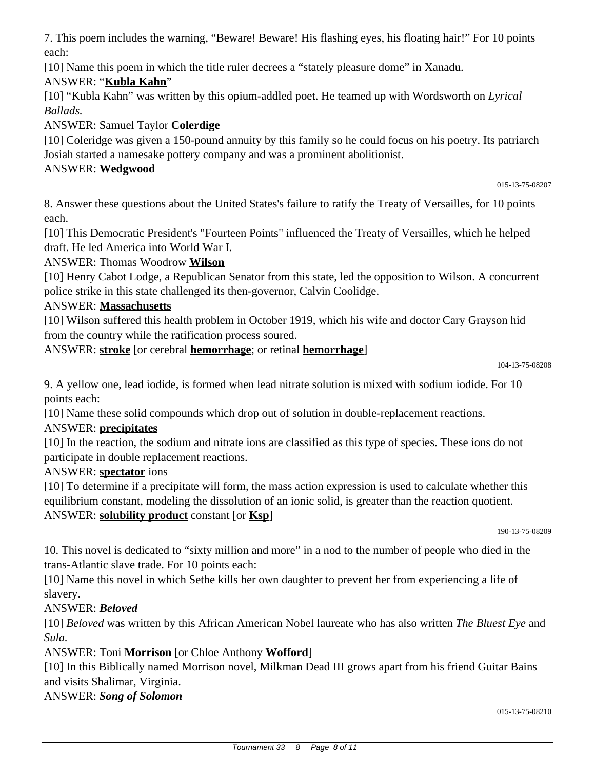7. This poem includes the warning, "Beware! Beware! His flashing eyes, his floating hair!" For 10 points each:

[10] Name this poem in which the title ruler decrees a "stately pleasure dome" in Xanadu.

# ANSWER: "**Kubla Kahn**"

[10] "Kubla Kahn" was written by this opium-addled poet. He teamed up with Wordsworth on *Lyrical Ballads.*

ANSWER: Samuel Taylor **Colerdige**

[10] Coleridge was given a 150-pound annuity by this family so he could focus on his poetry. Its patriarch Josiah started a namesake pottery company and was a prominent abolitionist.

# ANSWER: **Wedgwood**

015-13-75-08207

8. Answer these questions about the United States's failure to ratify the Treaty of Versailles, for 10 points each.

[10] This Democratic President's "Fourteen Points" influenced the Treaty of Versailles, which he helped draft. He led America into World War I.

ANSWER: Thomas Woodrow **Wilson**

[10] Henry Cabot Lodge, a Republican Senator from this state, led the opposition to Wilson. A concurrent police strike in this state challenged its then-governor, Calvin Coolidge.

# ANSWER: **Massachusetts**

[10] Wilson suffered this health problem in October 1919, which his wife and doctor Cary Grayson hid from the country while the ratification process soured.

ANSWER: **stroke** [or cerebral **hemorrhage**; or retinal **hemorrhage**]

104-13-75-08208

9. A yellow one, lead iodide, is formed when lead nitrate solution is mixed with sodium iodide. For 10 points each:

[10] Name these solid compounds which drop out of solution in double-replacement reactions.

# ANSWER: **precipitates**

[10] In the reaction, the sodium and nitrate ions are classified as this type of species. These ions do not participate in double replacement reactions.

## ANSWER: **spectator** ions

[10] To determine if a precipitate will form, the mass action expression is used to calculate whether this equilibrium constant, modeling the dissolution of an ionic solid, is greater than the reaction quotient. ANSWER: **solubility product** constant [or **Ksp**]

190-13-75-08209

10. This novel is dedicated to "sixty million and more" in a nod to the number of people who died in the trans-Atlantic slave trade. For 10 points each:

[10] Name this novel in which Sethe kills her own daughter to prevent her from experiencing a life of slavery.

# ANSWER: *Beloved*

[10] *Beloved* was written by this African American Nobel laureate who has also written *The Bluest Eye* and *Sula.*

ANSWER: Toni **Morrison** [or Chloe Anthony **Wofford**]

[10] In this Biblically named Morrison novel, Milkman Dead III grows apart from his friend Guitar Bains and visits Shalimar, Virginia.

## ANSWER: *Song of Solomon*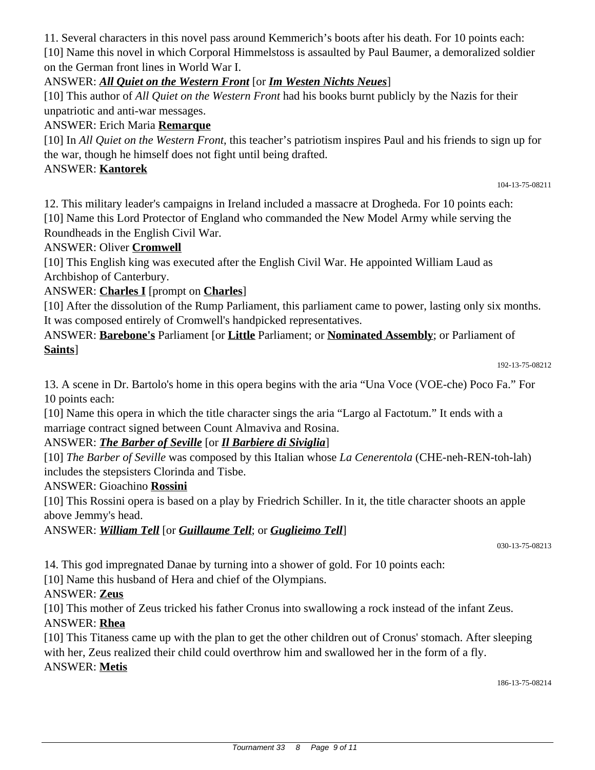Tournament 33 8 Page 9 of 11

11. Several characters in this novel pass around Kemmerich's boots after his death. For 10 points each: [10] Name this novel in which Corporal Himmelstoss is assaulted by Paul Baumer, a demoralized soldier on the German front lines in World War I.

#### ANSWER: *All Quiet on the Western Front* [or *Im Westen Nichts Neues*]

[10] This author of *All Quiet on the Western Front* had his books burnt publicly by the Nazis for their unpatriotic and anti-war messages.

#### ANSWER: Erich Maria **Remarque**

[10] In *All Quiet on the Western Front*, this teacher's patriotism inspires Paul and his friends to sign up for the war, though he himself does not fight until being drafted.

#### ANSWER: **Kantorek**

104-13-75-08211

12. This military leader's campaigns in Ireland included a massacre at Drogheda. For 10 points each: [10] Name this Lord Protector of England who commanded the New Model Army while serving the Roundheads in the English Civil War.

#### ANSWER: Oliver **Cromwell**

[10] This English king was executed after the English Civil War. He appointed William Laud as Archbishop of Canterbury.

#### ANSWER: **Charles I** [prompt on **Charles**]

[10] After the dissolution of the Rump Parliament, this parliament came to power, lasting only six months. It was composed entirely of Cromwell's handpicked representatives.

ANSWER: **Barebone's** Parliament [or **Little** Parliament; or **Nominated Assembly**; or Parliament of **Saints**]

13. A scene in Dr. Bartolo's home in this opera begins with the aria "Una Voce (VOE-che) Poco Fa." For 10 points each:

[10] Name this opera in which the title character sings the aria "Largo al Factotum." It ends with a marriage contract signed between Count Almaviva and Rosina.

## ANSWER: *The Barber of Seville* [or *Il Barbiere di Siviglia*]

[10] *The Barber of Seville* was composed by this Italian whose *La Cenerentola* (CHE-neh-REN-toh-lah) includes the stepsisters Clorinda and Tisbe.

#### ANSWER: Gioachino **Rossini**

[10] This Rossini opera is based on a play by Friedrich Schiller. In it, the title character shoots an apple above Jemmy's head.

ANSWER: *William Tell* [or *Guillaume Tell*; or *Guglieimo Tell*]

030-13-75-08213

14. This god impregnated Danae by turning into a shower of gold. For 10 points each:

[10] Name this husband of Hera and chief of the Olympians.

#### ANSWER: **Zeus**

[10] This mother of Zeus tricked his father Cronus into swallowing a rock instead of the infant Zeus. ANSWER: **Rhea**

[10] This Titaness came up with the plan to get the other children out of Cronus' stomach. After sleeping with her, Zeus realized their child could overthrow him and swallowed her in the form of a fly. ANSWER: **Metis**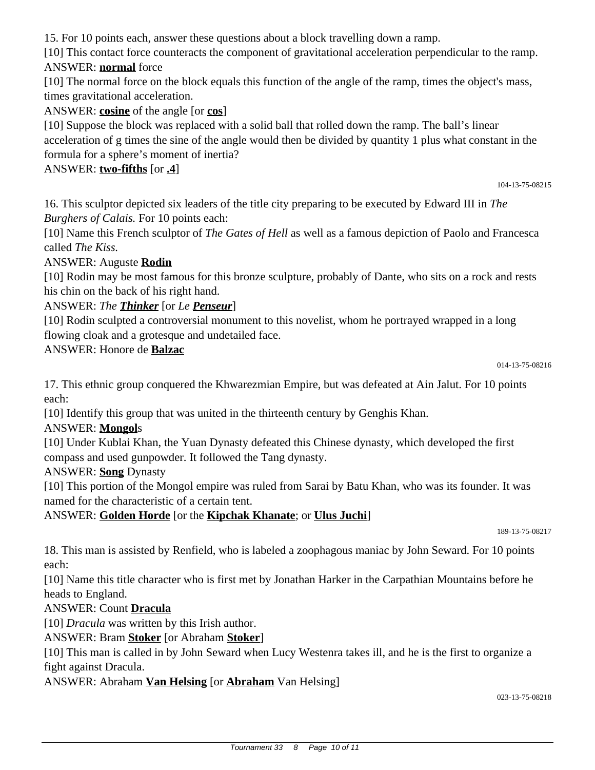15. For 10 points each, answer these questions about a block travelling down a ramp.

[10] This contact force counteracts the component of gravitational acceleration perpendicular to the ramp. ANSWER: **normal** force

[10] The normal force on the block equals this function of the angle of the ramp, times the object's mass, times gravitational acceleration.

ANSWER: **cosine** of the angle [or **cos**]

[10] Suppose the block was replaced with a solid ball that rolled down the ramp. The ball's linear acceleration of g times the sine of the angle would then be divided by quantity 1 plus what constant in the formula for a sphere's moment of inertia?

ANSWER: **two-fifths** [or **.4**]

104-13-75-08215

16. This sculptor depicted six leaders of the title city preparing to be executed by Edward III in *The Burghers of Calais.* For 10 points each:

[10] Name this French sculptor of *The Gates of Hell* as well as a famous depiction of Paolo and Francesca called *The Kiss.*

#### ANSWER: Auguste **Rodin**

[10] Rodin may be most famous for this bronze sculpture, probably of Dante, who sits on a rock and rests his chin on the back of his right hand.

ANSWER: *The Thinker* [or *Le Penseur*]

[10] Rodin sculpted a controversial monument to this novelist, whom he portrayed wrapped in a long flowing cloak and a grotesque and undetailed face.

#### ANSWER: Honore de **Balzac**

014-13-75-08216

17. This ethnic group conquered the Khwarezmian Empire, but was defeated at Ain Jalut. For 10 points each:

[10] Identify this group that was united in the thirteenth century by Genghis Khan.

## ANSWER: **Mongol**s

[10] Under Kublai Khan, the Yuan Dynasty defeated this Chinese dynasty, which developed the first compass and used gunpowder. It followed the Tang dynasty.

ANSWER: **Song** Dynasty

[10] This portion of the Mongol empire was ruled from Sarai by Batu Khan, who was its founder. It was named for the characteristic of a certain tent.

## ANSWER: **Golden Horde** [or the **Kipchak Khanate**; or **Ulus Juchi**]

189-13-75-08217

18. This man is assisted by Renfield, who is labeled a zoophagous maniac by John Seward. For 10 points each:

[10] Name this title character who is first met by Jonathan Harker in the Carpathian Mountains before he heads to England.

## ANSWER: Count **Dracula**

[10] *Dracula* was written by this Irish author.

ANSWER: Bram **Stoker** [or Abraham **Stoker**]

[10] This man is called in by John Seward when Lucy Westenra takes ill, and he is the first to organize a fight against Dracula.

## ANSWER: Abraham **Van Helsing** [or **Abraham** Van Helsing]